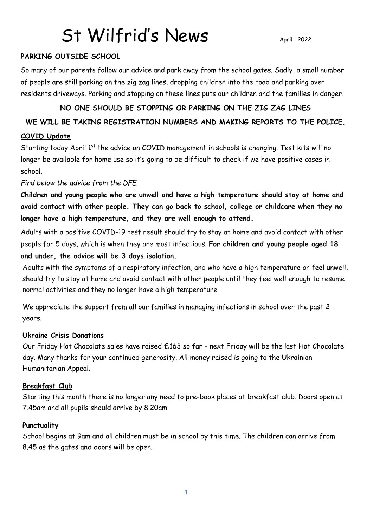#### **PARKING OUTSIDE SCHOOL**

So many of our parents follow our advice and park away from the school gates. Sadly, a small number of people are still parking on the zig zag lines, dropping children into the road and parking over residents driveways. Parking and stopping on these lines puts our children and the families in danger.

#### **NO ONE SHOULD BE STOPPING OR PARKING ON THE ZIG ZAG LINES**

#### **WE WILL BE TAKING REGISTRATION NUMBERS AND MAKING REPORTS TO THE POLICE.**

#### **COVID Update**

Starting today April 1<sup>st</sup> the advice on COVID management in schools is changing. Test kits will no longer be available for home use so it's going to be difficult to check if we have positive cases in school.

*Find below the advice from the DFE.* 

**Children and young people who are unwell and have a high temperature should stay at home and avoid contact with other people. They can go back to school, college or childcare when they no longer have a high temperature, and they are well enough to attend.**

Adults with a positive COVID-19 test result should try to stay at home and avoid contact with other people for 5 days, which is when they are most infectious. **For children and young people aged 18 and under, the advice will be 3 days isolation.**

Adults with the symptoms of a respiratory infection, and who have a high temperature or feel unwell, should try to stay at home and avoid contact with other people until they feel well enough to resume normal activities and they no longer have a high temperature

We appreciate the support from all our families in managing infections in school over the past 2 years.

#### **Ukraine Crisis Donations**

Our Friday Hot Chocolate sales have raised £163 so far – next Friday will be the last Hot Chocolate day. Many thanks for your continued generosity. All money raised is going to the Ukrainian Humanitarian Appeal.

#### **Breakfast Club**

Starting this month there is no longer any need to pre-book places at breakfast club. Doors open at 7.45am and all pupils should arrive by 8.20am.

#### **Punctuality**

School begins at 9am and all children must be in school by this time. The children can arrive from 8.45 as the gates and doors will be open.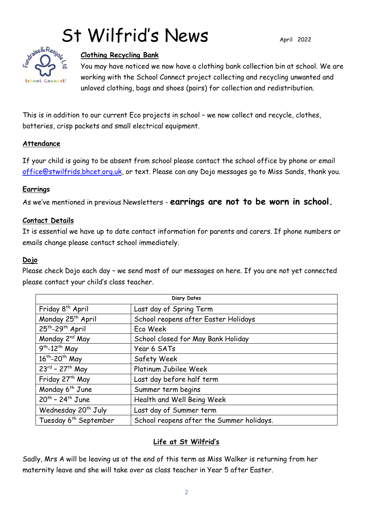

#### **Clothing Recycling Bank**

You may have noticed we now have a clothing bank collection bin at school. We are working with the School Connect project collecting and recycling unwanted and unloved clothing, bags and shoes (pairs) for collection and redistribution.

This is in addition to our current Eco projects in school – we now collect and recycle, clothes, batteries, crisp packets and small electrical equipment.

#### **Attendance**

If your child is going to be absent from school please contact the school office by phone or email [office@stwilfrids.bhcet.org.uk,](mailto:office@stwilfrids.bhcet.org.uk) or text. Please can any Dojo messages go to Miss Sands, thank you.

#### **Earrings**

As we've mentioned in previous Newsletters - **earrings are not to be worn in school.**

#### **Contact Details**

It is essential we have up to date contact information for parents and carers. If phone numbers or emails change please contact school immediately.

#### **Dojo**

Please check Dojo each day – we send most of our messages on here. If you are not yet connected please contact your child's class teacher.

| Diary Dates                              |                                           |
|------------------------------------------|-------------------------------------------|
| Friday 8 <sup>th</sup> April             | Last day of Spring Term                   |
| Monday 25 <sup>th</sup> April            | School reopens after Easter Holidays      |
| 25 <sup>th</sup> -29 <sup>th</sup> April | Eco Week                                  |
| Monday 2 <sup>nd</sup> May               | School closed for May Bank Holiday        |
| $9th - 12th$ May                         | Year 6 SATs                               |
| 16 <sup>th</sup> -20 <sup>th</sup> May   | Safety Week                               |
| $23^{rd}$ - 27 <sup>th</sup> May         | Platinum Jubilee Week                     |
| Friday 27 <sup>th</sup> May              | Last day before half term                 |
| Monday 6 <sup>th</sup> June              | Summer term begins                        |
| $20^{th}$ - 24 <sup>th</sup> June        | Health and Well Being Week                |
| Wednesday 20 <sup>th</sup> July          | Last day of Summer term                   |
| Tuesday 6 <sup>th</sup> September        | School reopens after the Summer holidays. |

### **Life at St Wilfrid's**

Sadly, Mrs A will be leaving us at the end of this term as Miss Walker is returning from her maternity leave and she will take over as class teacher in Year 5 after Easter.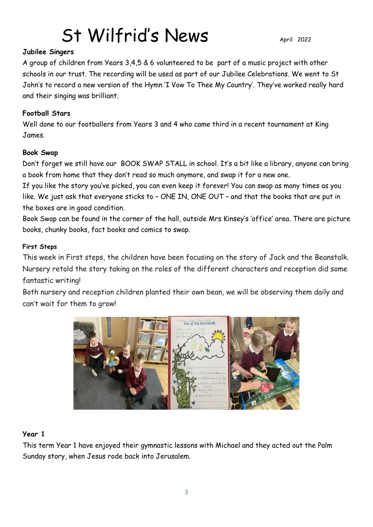#### **Jubilee Singers**

A group of children from Years 3,4,5 & 6 volunteered to be part of a music project with other schools in our trust. The recording will be used as part of our Jubilee Celebrations. We went to St John's to record a new version of the Hymn 'I Vow To Thee My Country'. They've worked really hard and their singing was brilliant.

#### **Football Stars**

Well done to our footballers from Years 3 and 4 who came third in a recent tournament at King James.

#### **Book Swap**

Don't forget we still have our BOOK SWAP STALL in school. It's a bit like a library, anyone can bring a book from home that they don't read so much anymore, and swap it for a new one.

If you like the story you've picked, you can even keep it forever! You can swap as many times as you like. We just ask that everyone sticks to – ONE IN, ONE OUT – and that the books that are put in the boxes are in good condition.

Book Swap can be found in the corner of the hall, outside Mrs Kinsey's 'office' area. There are picture books, chunky books, fact books and comics to swap.

#### **First Steps**

This week in First steps, the children have been focusing on the story of Jack and the Beanstalk. Nursery retold the story taking on the roles of the different characters and reception did some fantastic writing!

Both nursery and reception children planted their own bean, we will be observing them daily and can't wait for them to grow!



#### **Year 1**

This term Year 1 have enjoyed their gymnastic lessons with Michael and they acted out the Palm Sunday story, when Jesus rode back into Jerusalem.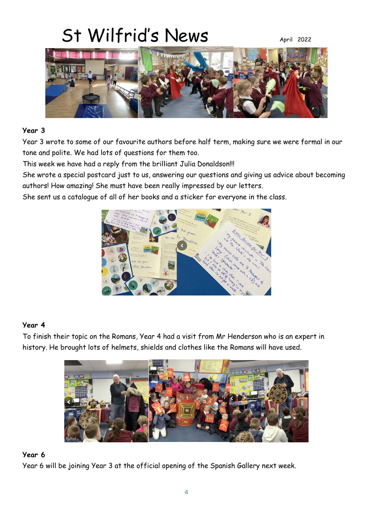

#### **Year 3**

Year 3 wrote to some of our favourite authors before half term, making sure we were formal in our tone and polite. We had lots of questions for them too.

This week we have had a reply from the brilliant Julia Donaldson!!!

She wrote a special postcard just to us, answering our questions and giving us advice about becoming authors! How amazing! She must have been really impressed by our letters.

She sent us a catalogue of all of her books and a sticker for everyone in the class.



#### **Year 4**

To finish their topic on the Romans, Year 4 had a visit from Mr Henderson who is an expert in history. He brought lots of helmets, shields and clothes like the Romans will have used.



#### **Year 6**

Year 6 will be joining Year 3 at the official opening of the Spanish Gallery next week.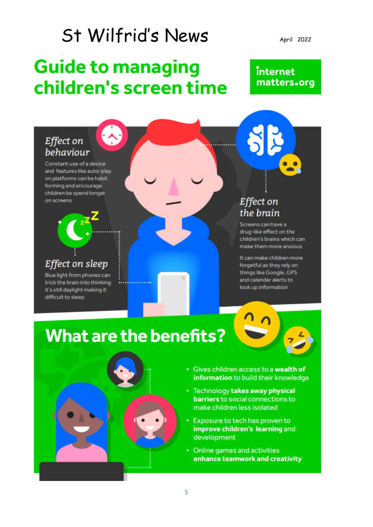### **Guide to managing** children's screen time

April 2022

### internet matters.org

### Effect on behaviour

Constant use of a device and features like auto-play on platforms can be habit forming and encourage children be spend longer on screens

### Effect on sleep

Blue light from phones can trick the brain into thinking it's still daylight making it difficult to sleep

### **Effect on** the brain

Screens can have a drug-like effect on the children's brains which can make them more anxious

It can make children more forgetful as they rely on things like Google, GPS and calendar alerts to look up information

## **What are the benefits?**



- Gives children access to a wealth of information to build their knowledge
- Technology takes away physical barriers to social connections to make children less isolated
- Exposure to tech has proven to improve children's learning and development
- Online games and activities enhance teamwork and creativity